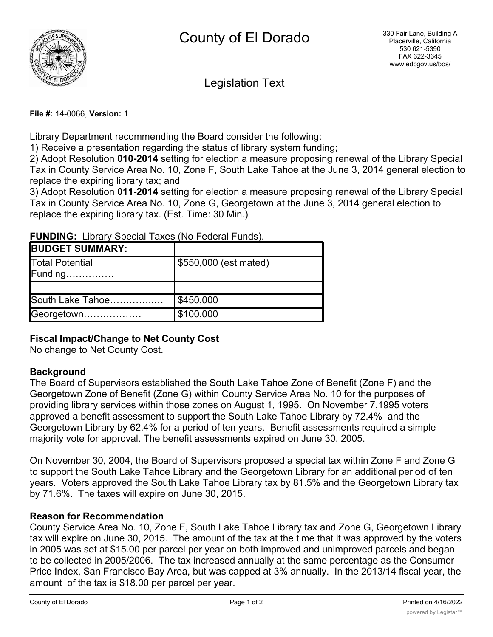

Legislation Text

**File #:** 14-0066, **Version:** 1

Library Department recommending the Board consider the following:

1) Receive a presentation regarding the status of library system funding;

2) Adopt Resolution **010-2014** setting for election a measure proposing renewal of the Library Special Tax in County Service Area No. 10, Zone F, South Lake Tahoe at the June 3, 2014 general election to replace the expiring library tax; and

3) Adopt Resolution **011-2014** setting for election a measure proposing renewal of the Library Special Tax in County Service Area No. 10, Zone G, Georgetown at the June 3, 2014 general election to replace the expiring library tax. (Est. Time: 30 Min.)

**FUNDING:** Library Special Taxes (No Federal Funds).

| <b>BUDGET SUMMARY:</b>                                        |                       |
|---------------------------------------------------------------|-----------------------|
| Total Potential<br>$\mathsf{Funding} \dots \dots \dots \dots$ | \$550,000 (estimated) |
|                                                               |                       |
| South Lake Tahoe                                              | \$450,000             |
| Georgetown                                                    | \$100,000             |

## **Fiscal Impact/Change to Net County Cost**

No change to Net County Cost.

## **Background**

The Board of Supervisors established the South Lake Tahoe Zone of Benefit (Zone F) and the Georgetown Zone of Benefit (Zone G) within County Service Area No. 10 for the purposes of providing library services within those zones on August 1, 1995. On November 7,1995 voters approved a benefit assessment to support the South Lake Tahoe Library by 72.4% and the Georgetown Library by 62.4% for a period of ten years. Benefit assessments required a simple majority vote for approval. The benefit assessments expired on June 30, 2005.

On November 30, 2004, the Board of Supervisors proposed a special tax within Zone F and Zone G to support the South Lake Tahoe Library and the Georgetown Library for an additional period of ten years. Voters approved the South Lake Tahoe Library tax by 81.5% and the Georgetown Library tax by 71.6%. The taxes will expire on June 30, 2015.

## **Reason for Recommendation**

County Service Area No. 10, Zone F, South Lake Tahoe Library tax and Zone G, Georgetown Library tax will expire on June 30, 2015. The amount of the tax at the time that it was approved by the voters in 2005 was set at \$15.00 per parcel per year on both improved and unimproved parcels and began to be collected in 2005/2006. The tax increased annually at the same percentage as the Consumer Price Index, San Francisco Bay Area, but was capped at 3% annually. In the 2013/14 fiscal year, the amount of the tax is \$18.00 per parcel per year.